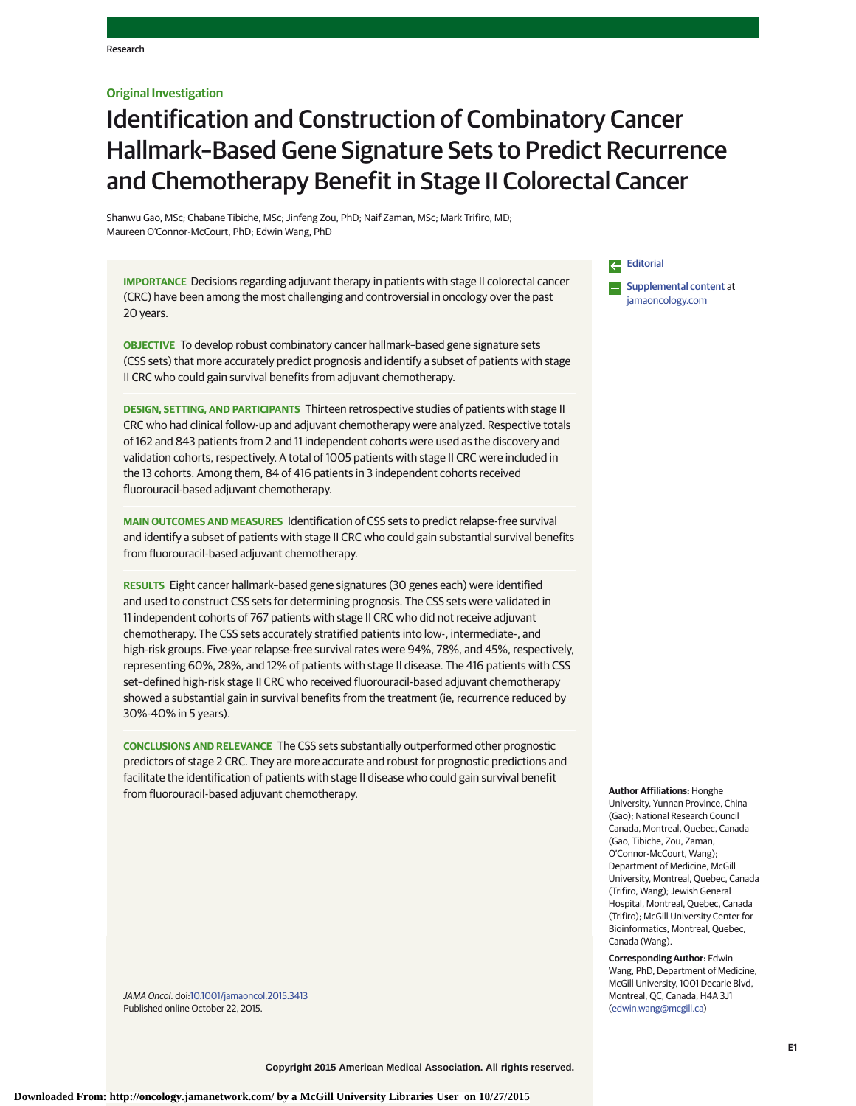## **Original Investigation**

# Identification and Construction of Combinatory Cancer Hallmark–Based Gene Signature Sets to Predict Recurrence and Chemotherapy Benefit in Stage II Colorectal Cancer

Shanwu Gao, MSc; Chabane Tibiche, MSc; Jinfeng Zou, PhD; Naif Zaman, MSc; Mark Trifiro, MD; Maureen O'Connor-McCourt, PhD; Edwin Wang, PhD

**IMPORTANCE** Decisions regarding adjuvant therapy in patients with stage II colorectal cancer (CRC) have been among the most challenging and controversial in oncology over the past 20 years.

**OBJECTIVE** To develop robust combinatory cancer hallmark–based gene signature sets (CSS sets) that more accurately predict prognosis and identify a subset of patients with stage II CRC who could gain survival benefits from adjuvant chemotherapy.

**DESIGN, SETTING, AND PARTICIPANTS** Thirteen retrospective studies of patients with stage II CRC who had clinical follow-up and adjuvant chemotherapy were analyzed. Respective totals of 162 and 843 patients from 2 and 11 independent cohorts were used as the discovery and validation cohorts, respectively. A total of 1005 patients with stage II CRC were included in the 13 cohorts. Among them, 84 of 416 patients in 3 independent cohorts received fluorouracil-based adjuvant chemotherapy.

**MAIN OUTCOMES AND MEASURES** Identification of CSS sets to predict relapse-free survival and identify a subset of patients with stage II CRC who could gain substantial survival benefits from fluorouracil-based adjuvant chemotherapy.

**RESULTS** Eight cancer hallmark–based gene signatures (30 genes each) were identified and used to construct CSS sets for determining prognosis. The CSS sets were validated in 11 independent cohorts of 767 patients with stage II CRC who did not receive adjuvant chemotherapy. The CSS sets accurately stratified patients into low-, intermediate-, and high-risk groups. Five-year relapse-free survival rates were 94%, 78%, and 45%, respectively, representing 60%, 28%, and 12% of patients with stage II disease. The 416 patients with CSS set–defined high-risk stage II CRC who received fluorouracil-based adjuvant chemotherapy showed a substantial gain in survival benefits from the treatment (ie, recurrence reduced by 30%-40% in 5 years).

**CONCLUSIONS AND RELEVANCE** The CSS sets substantially outperformed other prognostic predictors of stage 2 CRC. They are more accurate and robust for prognostic predictions and facilitate the identification of patients with stage II disease who could gain survival benefit from fluorouracil-based adjuvant chemotherapy.

JAMA Oncol. doi[:10.1001/jamaoncol.2015.3413](http://jama.jamanetwork.com/article.aspx?doi=10.1001/jamaoncol.2015.3413&utm_campaign=articlePDF%26utm_medium=articlePDFlink%26utm_source=articlePDF%26utm_content=jamaoncol.2015.3413) Published online October 22, 2015.

## [Editorial](http://jama.jamanetwork.com/article.aspx?doi=10.1001/jamaoncol.2015.3614&utm_campaign=articlePDF%26utm_medium=articlePDFlink%26utm_source=articlePDF%26utm_content=jamaoncol.2015.3413)

**Examplemental content at** [jamaoncology.com](http://www.jamaoncology.com/?utm_campaign=articlePDF%26utm_medium=articlePDFlink%26utm_source=articlePDF%26utm_content=jamaoncol.2015.3413)

**Author Affiliations:** Honghe

University, Yunnan Province, China (Gao); National Research Council Canada, Montreal, Quebec, Canada (Gao, Tibiche, Zou, Zaman, O'Connor-McCourt, Wang); Department of Medicine, McGill University, Montreal, Quebec, Canada (Trifiro, Wang); Jewish General Hospital, Montreal, Quebec, Canada (Trifiro); McGill University Center for Bioinformatics, Montreal, Quebec, Canada (Wang).

**Corresponding Author:** Edwin Wang, PhD, Department of Medicine, McGill University, 1001 Decarie Blvd, Montreal, QC, Canada, H4A 3J1 [\(edwin.wang@mcgill.ca\)](mailto:edwin.wang@mcgill.ca)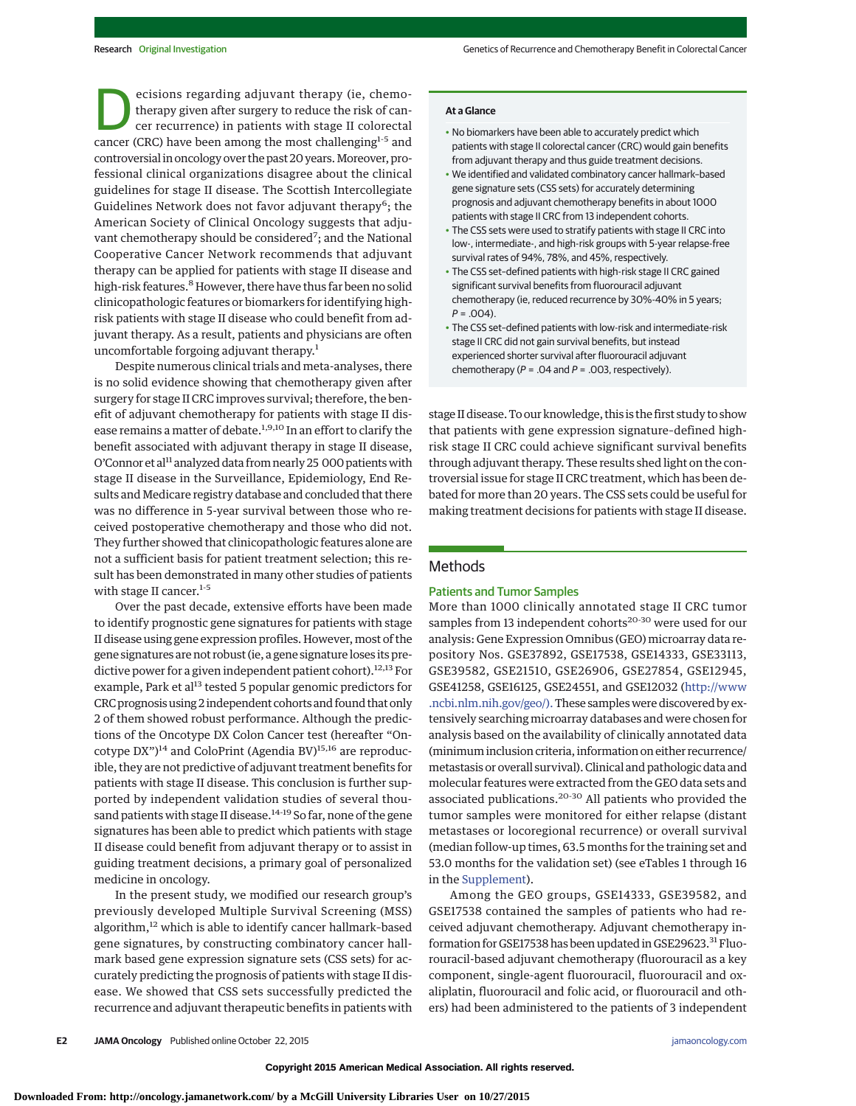**Exercisions regarding adjuvant therapy (ie, chemo-**<br>therapy given after surgery to reduce the risk of can-<br>cer recurrence) in patients with stage II colorectal<br>cancer (CPC) have been among the most challenging<sup>1-5</sup> and therapy given after surgery to reduce the risk of cancancer (CRC) have been among the most challenging<sup>1-5</sup> and controversial in oncology over the past 20 years. Moreover, professional clinical organizations disagree about the clinical guidelines for stage II disease. The Scottish Intercollegiate Guidelines Network does not favor adjuvant therapy<sup>6</sup>; the American Society of Clinical Oncology suggests that adjuvant chemotherapy should be considered<sup>7</sup>; and the National Cooperative Cancer Network recommends that adjuvant therapy can be applied for patients with stage II disease and high-risk features.<sup>8</sup> However, there have thus far been no solid clinicopathologic features or biomarkers for identifying highrisk patients with stage II disease who could benefit from adjuvant therapy. As a result, patients and physicians are often uncomfortable forgoing adjuvant therapy.<sup>1</sup>

Despite numerous clinical trials and meta-analyses, there is no solid evidence showing that chemotherapy given after surgery for stage II CRC improves survival; therefore, the benefit of adjuvant chemotherapy for patients with stage II disease remains a matter of debate.<sup>1,9,10</sup> In an effort to clarify the benefit associated with adjuvant therapy in stage II disease, O'Connor et al<sup>11</sup> analyzed data from nearly 25 000 patients with stage II disease in the Surveillance, Epidemiology, End Results and Medicare registry database and concluded that there was no difference in 5-year survival between those who received postoperative chemotherapy and those who did not. They further showed that clinicopathologic features alone are not a sufficient basis for patient treatment selection; this result has been demonstrated in many other studies of patients with stage II cancer.<sup>1-5</sup>

Over the past decade, extensive efforts have been made to identify prognostic gene signatures for patients with stage II disease using gene expression profiles. However, most of the gene signatures are not robust (ie, a gene signature loses its predictive power for a given independent patient cohort).<sup>12,13</sup> For example, Park et al<sup>13</sup> tested 5 popular genomic predictors for CRC prognosis using 2 independent cohorts and found that only 2 of them showed robust performance. Although the predictions of the Oncotype DX Colon Cancer test (hereafter "Oncotype DX")<sup>14</sup> and ColoPrint (Agendia BV)<sup>15,16</sup> are reproducible, they are not predictive of adjuvant treatment benefits for patients with stage II disease. This conclusion is further supported by independent validation studies of several thousand patients with stage II disease.<sup>14-19</sup> So far, none of the gene signatures has been able to predict which patients with stage II disease could benefit from adjuvant therapy or to assist in guiding treatment decisions, a primary goal of personalized medicine in oncology.

In the present study, we modified our research group's previously developed Multiple Survival Screening (MSS) algorithm,<sup>12</sup> which is able to identify cancer hallmark-based gene signatures, by constructing combinatory cancer hallmark based gene expression signature sets (CSS sets) for accurately predicting the prognosis of patients with stage II disease. We showed that CSS sets successfully predicted the recurrence and adjuvant therapeutic benefits in patients with

#### **At a Glance**

- No biomarkers have been able to accurately predict which patients with stage II colorectal cancer (CRC) would gain benefits from adjuvant therapy and thus guide treatment decisions.
- We identified and validated combinatory cancer hallmark–based gene signature sets (CSS sets) for accurately determining prognosis and adjuvant chemotherapy benefits in about 1000 patients with stage II CRC from 13 independent cohorts.
- The CSS sets were used to stratify patients with stage II CRC into low-, intermediate-, and high-risk groups with 5-year relapse-free survival rates of 94%, 78%, and 45%, respectively.
- The CSS set–defined patients with high-risk stage II CRC gained significant survival benefits from fluorouracil adjuvant chemotherapy (ie, reduced recurrence by 30%-40% in 5 years;  $P = 0.04$
- The CSS set–defined patients with low-risk and intermediate-risk stage II CRC did not gain survival benefits, but instead experienced shorter survival after fluorouracil adjuvant chemotherapy ( $P = .04$  and  $P = .003$ , respectively).

stage II disease. To our knowledge, this is the first study to show that patients with gene expression signature–defined highrisk stage II CRC could achieve significant survival benefits through adjuvant therapy. These results shed light on the controversial issue for stage II CRC treatment, which has been debated for more than 20 years. The CSS sets could be useful for making treatment decisions for patients with stage II disease.

## **Methods**

#### Patients and Tumor Samples

More than 1000 clinically annotated stage II CRC tumor samples from 13 independent cohorts<sup>20-30</sup> were used for our analysis: Gene Expression Omnibus (GEO) microarray data repository Nos. GSE37892, GSE17538, GSE14333, GSE33113, GSE39582, GSE21510, GSE26906, GSE27854, GSE12945, GSE41258, GSE16125, GSE24551, and GSE12032 [\(http://www](http://www.ncbi.nlm.nih.gov/geo/) [.ncbi.nlm.nih.gov/geo/\).](http://www.ncbi.nlm.nih.gov/geo/)These samples were discovered by extensively searching microarray databases and were chosen for analysis based on the availability of clinically annotated data (minimum inclusion criteria, information on either recurrence/ metastasis or overall survival). Clinical and pathologic data and molecular features were extracted from the GEO data sets and associated publications.20-30 All patients who provided the tumor samples were monitored for either relapse (distant metastases or locoregional recurrence) or overall survival (median follow-up times, 63.5 months for the training set and 53.0 months for the validation set) (see eTables 1 through 16 in the [Supplement\)](http://jama.jamanetwork.com/article.aspx?doi=10.1001/jamaoncol.2015.3413&utm_campaign=articlePDF%26utm_medium=articlePDFlink%26utm_source=articlePDF%26utm_content=jamaoncol.2015.3413).

Among the GEO groups, GSE14333, GSE39582, and GSE17538 contained the samples of patients who had received adjuvant chemotherapy. Adjuvant chemotherapy information for GSE17538 has been updated in GSE29623.<sup>31</sup> Fluorouracil-based adjuvant chemotherapy (fluorouracil as a key component, single-agent fluorouracil, fluorouracil and oxaliplatin, fluorouracil and folic acid, or fluorouracil and others) had been administered to the patients of 3 independent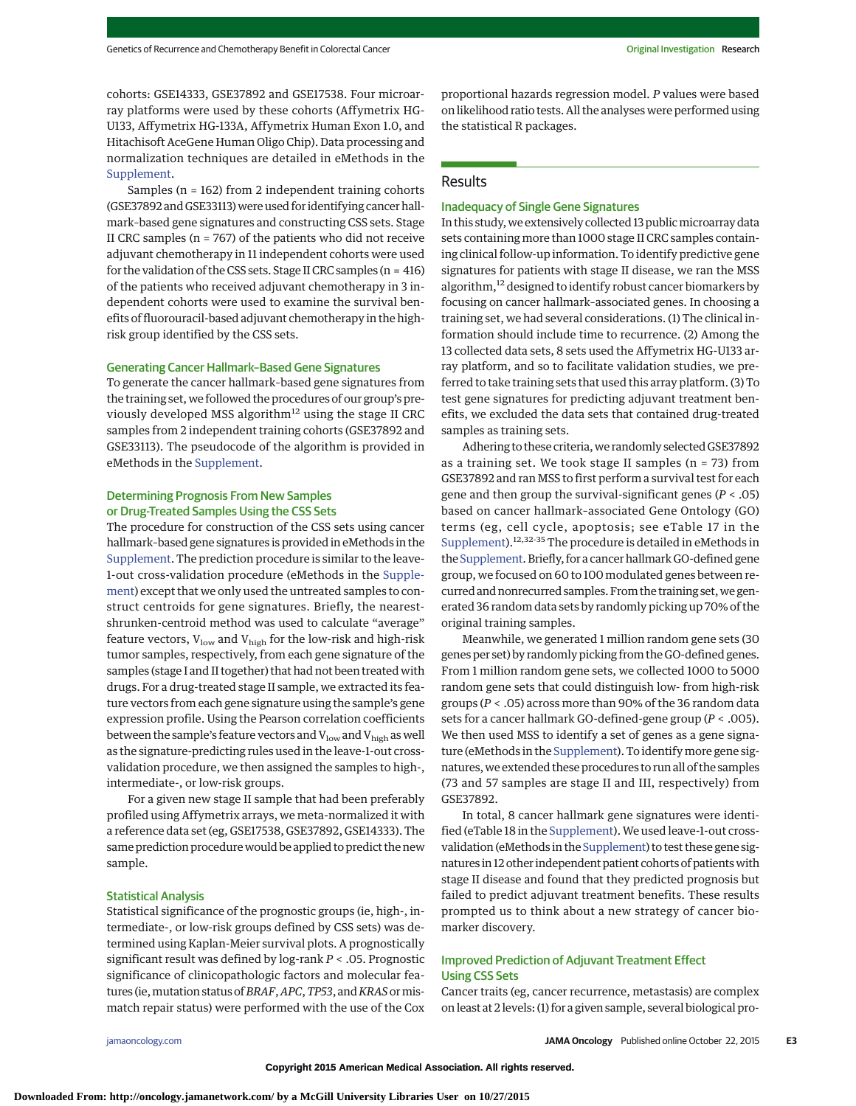cohorts: GSE14333, GSE37892 and GSE17538. Four microarray platforms were used by these cohorts (Affymetrix HG-U133, Affymetrix HG-133A, Affymetrix Human Exon 1.0, and Hitachisoft AceGene Human Oligo Chip). Data processing and normalization techniques are detailed in eMethods in the [Supplement.](http://jama.jamanetwork.com/article.aspx?doi=10.1001/jamaoncol.2015.3413&utm_campaign=articlePDF%26utm_medium=articlePDFlink%26utm_source=articlePDF%26utm_content=jamaoncol.2015.3413)

Samples (n = 162) from 2 independent training cohorts (GSE37892 and GSE33113) were used for identifying cancer hallmark–based gene signatures and constructing CSS sets. Stage II CRC samples ( $n = 767$ ) of the patients who did not receive adjuvant chemotherapy in 11 independent cohorts were used for the validation of the CSS sets. Stage II CRC samples ( $n = 416$ ) of the patients who received adjuvant chemotherapy in 3 independent cohorts were used to examine the survival benefits of fluorouracil-based adjuvant chemotherapy in the highrisk group identified by the CSS sets.

#### Generating Cancer Hallmark–Based Gene Signatures

To generate the cancer hallmark–based gene signatures from the training set, we followed the procedures of our group's previously developed MSS algorithm<sup>12</sup> using the stage II CRC samples from 2 independent training cohorts (GSE37892 and GSE33113). The pseudocode of the algorithm is provided in eMethods in the [Supplement.](http://jama.jamanetwork.com/article.aspx?doi=10.1001/jamaoncol.2015.3413&utm_campaign=articlePDF%26utm_medium=articlePDFlink%26utm_source=articlePDF%26utm_content=jamaoncol.2015.3413)

## Determining Prognosis From New Samples or Drug-Treated Samples Using the CSS Sets

The procedure for construction of the CSS sets using cancer hallmark–based gene signatures is provided in eMethods in the [Supplement.](http://jama.jamanetwork.com/article.aspx?doi=10.1001/jamaoncol.2015.3413&utm_campaign=articlePDF%26utm_medium=articlePDFlink%26utm_source=articlePDF%26utm_content=jamaoncol.2015.3413) The prediction procedure is similar to the leave-1-out cross-validation procedure (eMethods in the [Supple](http://jama.jamanetwork.com/article.aspx?doi=10.1001/jamaoncol.2015.3413&utm_campaign=articlePDF%26utm_medium=articlePDFlink%26utm_source=articlePDF%26utm_content=jamaoncol.2015.3413)[ment\)](http://jama.jamanetwork.com/article.aspx?doi=10.1001/jamaoncol.2015.3413&utm_campaign=articlePDF%26utm_medium=articlePDFlink%26utm_source=articlePDF%26utm_content=jamaoncol.2015.3413) except that we only used the untreated samples to construct centroids for gene signatures. Briefly, the nearestshrunken-centroid method was used to calculate "average" feature vectors,  $V_{low}$  and  $V_{high}$  for the low-risk and high-risk tumor samples, respectively, from each gene signature of the samples (stage I and II together) that had not been treated with drugs. For a drug-treated stage II sample, we extracted its feature vectors from each gene signature using the sample's gene expression profile. Using the Pearson correlation coefficients between the sample's feature vectors and  $V_{low}$  and  $V_{high}$  as well as the signature-predicting rules used in the leave-1-out crossvalidation procedure, we then assigned the samples to high-, intermediate-, or low-risk groups.

For a given new stage II sample that had been preferably profiled using Affymetrix arrays, we meta-normalized it with a reference data set (eg, GSE17538, GSE37892, GSE14333). The same prediction procedure would be applied to predict the new sample.

#### Statistical Analysis

Statistical significance of the prognostic groups (ie, high-, intermediate-, or low-risk groups defined by CSS sets) was determined using Kaplan-Meier survival plots. A prognostically significant result was defined by log-rank *P* < .05. Prognostic significance of clinicopathologic factors and molecular features (ie,mutation status of*BRAF*,*APC*,*TP53*, and*KRAS*ormismatch repair status) were performed with the use of the Cox

proportional hazards regression model. *P* values were based on likelihood ratio tests. All the analyses were performed using the statistical R packages.

#### Results

#### Inadequacy of Single Gene Signatures

In this study, we extensively collected 13 public microarray data sets containing more than 1000 stage II CRC samples containing clinical follow-up information. To identify predictive gene signatures for patients with stage II disease, we ran the MSS algorithm,<sup>12</sup> designed to identify robust cancer biomarkers by focusing on cancer hallmark–associated genes. In choosing a training set, we had several considerations. (1) The clinical information should include time to recurrence. (2) Among the 13 collected data sets, 8 sets used the Affymetrix HG-U133 array platform, and so to facilitate validation studies, we preferred to take training sets that used this array platform. (3) To test gene signatures for predicting adjuvant treatment benefits, we excluded the data sets that contained drug-treated samples as training sets.

Adhering to these criteria, we randomly selected GSE37892 as a training set. We took stage II samples  $(n = 73)$  from GSE37892 and ran MSS to first perform a survival test for each gene and then group the survival-significant genes (*P* < .05) based on cancer hallmark–associated Gene Ontology (GO) terms (eg, cell cycle, apoptosis; see eTable 17 in the [Supplement\)](http://jama.jamanetwork.com/article.aspx?doi=10.1001/jamaoncol.2015.3413&utm_campaign=articlePDF%26utm_medium=articlePDFlink%26utm_source=articlePDF%26utm_content=jamaoncol.2015.3413).12,32-35 The procedure is detailed in eMethods in the [Supplement.](http://jama.jamanetwork.com/article.aspx?doi=10.1001/jamaoncol.2015.3413&utm_campaign=articlePDF%26utm_medium=articlePDFlink%26utm_source=articlePDF%26utm_content=jamaoncol.2015.3413) Briefly, for a cancer hallmark GO-defined gene group, we focused on 60 to 100 modulated genes between recurred and nonrecurred samples. From the training set, we generated 36 random data sets by randomly picking up 70% of the original training samples.

Meanwhile, we generated 1 million random gene sets (30 genes per set) by randomly picking from the GO-defined genes. From 1 million random gene sets, we collected 1000 to 5000 random gene sets that could distinguish low- from high-risk groups (*P* < .05) across more than 90% of the 36 random data sets for a cancer hallmark GO-defined-gene group (*P* < .005). We then used MSS to identify a set of genes as a gene signature (eMethods in the [Supplement\)](http://jama.jamanetwork.com/article.aspx?doi=10.1001/jamaoncol.2015.3413&utm_campaign=articlePDF%26utm_medium=articlePDFlink%26utm_source=articlePDF%26utm_content=jamaoncol.2015.3413). To identify more gene signatures, we extended these procedures to run all of the samples (73 and 57 samples are stage II and III, respectively) from GSE37892.

In total, 8 cancer hallmark gene signatures were identified (eTable 18 in the [Supplement\)](http://jama.jamanetwork.com/article.aspx?doi=10.1001/jamaoncol.2015.3413&utm_campaign=articlePDF%26utm_medium=articlePDFlink%26utm_source=articlePDF%26utm_content=jamaoncol.2015.3413). We used leave-1-out crossvalidation (eMethods in the [Supplement\)](http://jama.jamanetwork.com/article.aspx?doi=10.1001/jamaoncol.2015.3413&utm_campaign=articlePDF%26utm_medium=articlePDFlink%26utm_source=articlePDF%26utm_content=jamaoncol.2015.3413) to test these gene signatures in 12 other independent patient cohorts of patientswith stage II disease and found that they predicted prognosis but failed to predict adjuvant treatment benefits. These results prompted us to think about a new strategy of cancer biomarker discovery.

## Improved Prediction of Adjuvant Treatment Effect Using CSS Sets

Cancer traits (eg, cancer recurrence, metastasis) are complex on least at 2 levels: (1) for a given sample, several biological pro-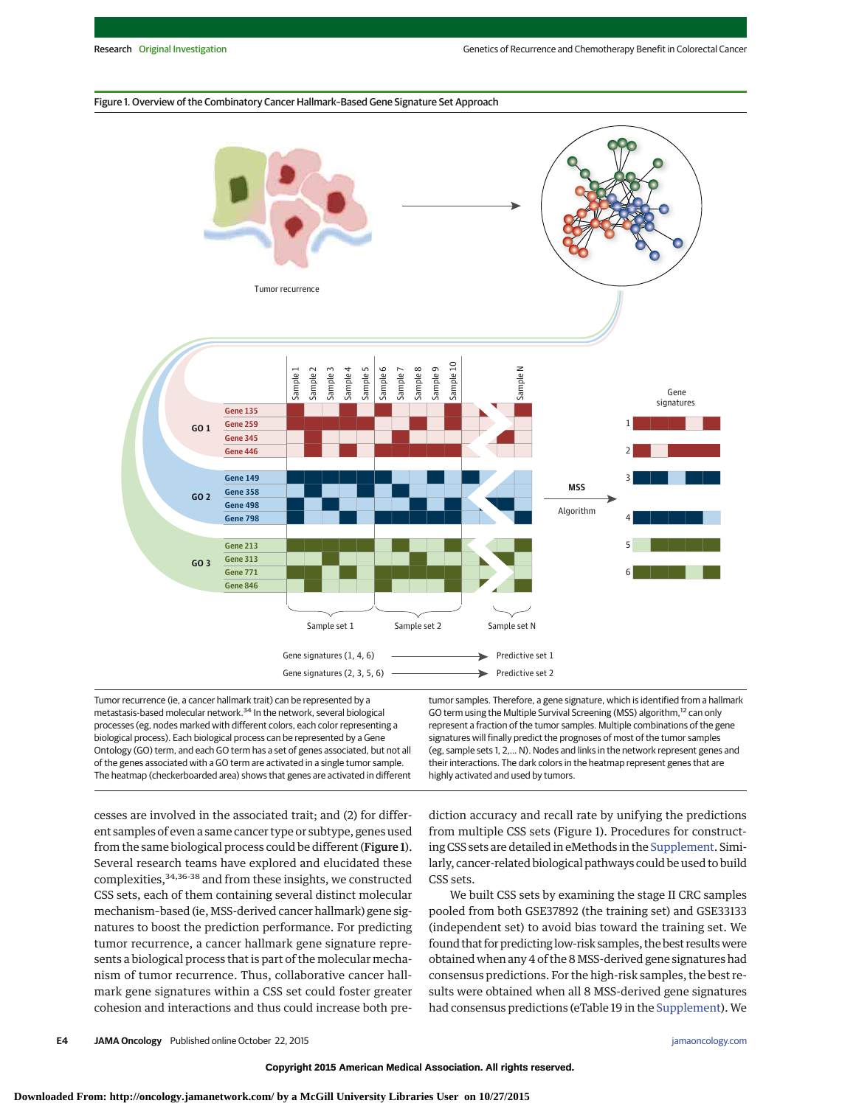#### Figure 1. Overview of the Combinatory Cancer Hallmark–Based Gene Signature Set Approach



Tumor recurrence (ie, a cancer hallmark trait) can be represented by a metastasis-based molecular network.34 In the network, several biological processes (eg, nodes marked with different colors, each color representing a biological process). Each biological process can be represented by a Gene Ontology (GO) term, and each GO term has a set of genes associated, but not all of the genes associated with a GO term are activated in a single tumor sample. The heatmap (checkerboarded area) shows that genes are activated in different tumor samples. Therefore, a gene signature, which is identified from a hallmark GO term using the Multiple Survival Screening (MSS) algorithm,<sup>12</sup> can only represent a fraction of the tumor samples. Multiple combinations of the gene signatures will finally predict the prognoses of most of the tumor samples (eg, sample sets 1, 2,… N). Nodes and links in the network represent genes and their interactions. The dark colors in the heatmap represent genes that are highly activated and used by tumors.

cesses are involved in the associated trait; and (2) for different samples of even a same cancer type or subtype, genes used from the same biological process could be different (Figure 1). Several research teams have explored and elucidated these complexities, <sup>34,36-38</sup> and from these insights, we constructed CSS sets, each of them containing several distinct molecular mechanism–based (ie, MSS-derived cancer hallmark) gene signatures to boost the prediction performance. For predicting tumor recurrence, a cancer hallmark gene signature represents a biological process that is part of the molecular mechanism of tumor recurrence. Thus, collaborative cancer hallmark gene signatures within a CSS set could foster greater cohesion and interactions and thus could increase both prediction accuracy and recall rate by unifying the predictions from multiple CSS sets (Figure 1). Procedures for constructing CSS sets are detailed in eMethods in the [Supplement.](http://jama.jamanetwork.com/article.aspx?doi=10.1001/jamaoncol.2015.3413&utm_campaign=articlePDF%26utm_medium=articlePDFlink%26utm_source=articlePDF%26utm_content=jamaoncol.2015.3413) Similarly, cancer-related biological pathways could be used to build CSS sets.

We built CSS sets by examining the stage II CRC samples pooled from both GSE37892 (the training set) and GSE33133 (independent set) to avoid bias toward the training set. We found that for predicting low-risk samples, the best resultswere obtained when any 4 of the 8MSS-derived gene signatures had consensus predictions. For the high-risk samples, the best results were obtained when all 8 MSS-derived gene signatures had consensus predictions (eTable 19 in the [Supplement\)](http://jama.jamanetwork.com/article.aspx?doi=10.1001/jamaoncol.2015.3413&utm_campaign=articlePDF%26utm_medium=articlePDFlink%26utm_source=articlePDF%26utm_content=jamaoncol.2015.3413). We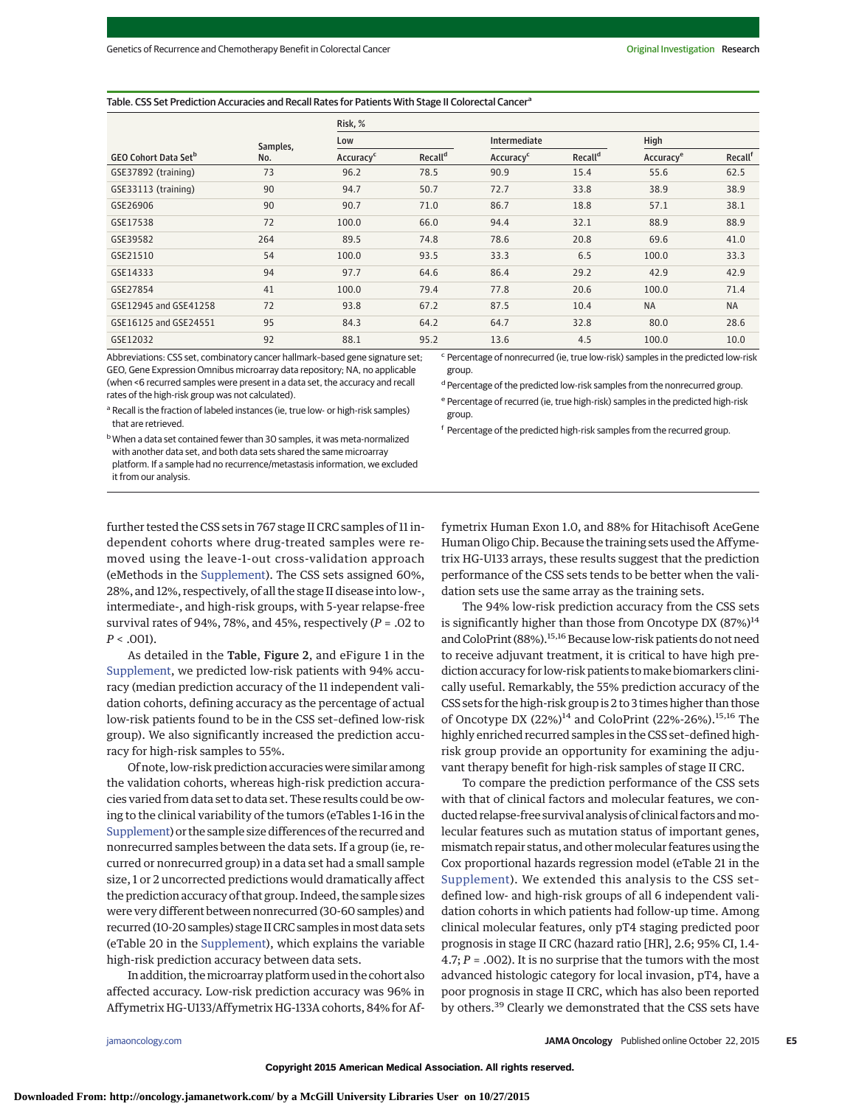#### Table. CSS Set Prediction Accuracies and Recall Rates for Patients With Stage II Colorectal Cancer<sup>a</sup>

|                                               |          | Risk, %               |                     |                       |                     |                       |           |
|-----------------------------------------------|----------|-----------------------|---------------------|-----------------------|---------------------|-----------------------|-----------|
|                                               | Samples, | Low                   |                     | Intermediate          |                     | High                  |           |
| <b>GEO Cohort Data Set<sup>b</sup></b><br>No. |          | Accuracy <sup>c</sup> | Recall <sup>d</sup> | Accuracy <sup>c</sup> | Recall <sup>d</sup> | Accuracy <sup>e</sup> | Recallf   |
| GSE37892 (training)                           | 73       | 96.2                  | 78.5                | 90.9                  | 15.4                | 55.6                  | 62.5      |
| GSE33113 (training)                           | 90       | 94.7                  | 50.7                | 72.7                  | 33.8                | 38.9                  | 38.9      |
| GSE26906                                      | 90       | 90.7                  | 71.0                | 86.7                  | 18.8                | 57.1                  | 38.1      |
| GSE17538                                      | 72       | 100.0                 | 66.0                | 94.4                  | 32.1                | 88.9                  | 88.9      |
| GSE39582                                      | 264      | 89.5                  | 74.8                | 78.6                  | 20.8                | 69.6                  | 41.0      |
| GSE21510                                      | 54       | 100.0                 | 93.5                | 33.3                  | 6.5                 | 100.0                 | 33.3      |
| GSE14333                                      | 94       | 97.7                  | 64.6                | 86.4                  | 29.2                | 42.9                  | 42.9      |
| GSE27854                                      | 41       | 100.0                 | 79.4                | 77.8                  | 20.6                | 100.0                 | 71.4      |
| GSE12945 and GSE41258                         | 72       | 93.8                  | 67.2                | 87.5                  | 10.4                | <b>NA</b>             | <b>NA</b> |
| GSE16125 and GSE24551                         | 95       | 84.3                  | 64.2                | 64.7                  | 32.8                | 80.0                  | 28.6      |
| GSE12032                                      | 92       | 88.1                  | 95.2                | 13.6                  | 4.5                 | 100.0                 | 10.0      |

Abbreviations: CSS set, combinatory cancer hallmark–based gene signature set; GEO, Gene Expression Omnibus microarray data repository; NA, no applicable (when <6 recurred samples were present in a data set, the accuracy and recall rates of the high-risk group was not calculated).

<sup>a</sup> Recall is the fraction of labeled instances (ie, true low- or high-risk samples) that are retrieved.

bWhen a data set contained fewer than 30 samples, it was meta-normalized with another data set, and both data sets shared the same microarray platform. If a sample had no recurrence/metastasis information, we excluded it from our analysis.

<sup>c</sup> Percentage of nonrecurred (ie, true low-risk) samples in the predicted low-risk group.

d Percentage of the predicted low-risk samples from the nonrecurred group.

<sup>e</sup> Percentage of recurred (ie, true high-risk) samples in the predicted high-risk group.

<sup>f</sup> Percentage of the predicted high-risk samples from the recurred group.

further tested the CSS sets in 767 stage II CRC samples of 11 independent cohorts where drug-treated samples were removed using the leave-1-out cross-validation approach (eMethods in the [Supplement\)](http://jama.jamanetwork.com/article.aspx?doi=10.1001/jamaoncol.2015.3413&utm_campaign=articlePDF%26utm_medium=articlePDFlink%26utm_source=articlePDF%26utm_content=jamaoncol.2015.3413). The CSS sets assigned 60%, 28%, and 12%, respectively, of all the stage II disease into low-, intermediate-, and high-risk groups, with 5-year relapse-free survival rates of 94%, 78%, and 45%, respectively (*P* = .02 to *P* < .001).

As detailed in the Table, Figure 2, and eFigure 1 in the [Supplement,](http://jama.jamanetwork.com/article.aspx?doi=10.1001/jamaoncol.2015.3413&utm_campaign=articlePDF%26utm_medium=articlePDFlink%26utm_source=articlePDF%26utm_content=jamaoncol.2015.3413) we predicted low-risk patients with 94% accuracy (median prediction accuracy of the 11 independent validation cohorts, defining accuracy as the percentage of actual low-risk patients found to be in the CSS set–defined low-risk group). We also significantly increased the prediction accuracy for high-risk samples to 55%.

Of note, low-risk prediction accuracies were similar among the validation cohorts, whereas high-risk prediction accuracies varied from data set to data set. These results could be owing to the clinical variability of the tumors (eTables 1-16 in the [Supplement\)](http://jama.jamanetwork.com/article.aspx?doi=10.1001/jamaoncol.2015.3413&utm_campaign=articlePDF%26utm_medium=articlePDFlink%26utm_source=articlePDF%26utm_content=jamaoncol.2015.3413) or the sample size differences of the recurred and nonrecurred samples between the data sets. If a group (ie, recurred or nonrecurred group) in a data set had a small sample size, 1 or 2 uncorrected predictions would dramatically affect the prediction accuracy of that group. Indeed, the sample sizes were very different between nonrecurred (30-60 samples) and recurred (10-20 samples) stage II CRC samples in most data sets (eTable 20 in the [Supplement\)](http://jama.jamanetwork.com/article.aspx?doi=10.1001/jamaoncol.2015.3413&utm_campaign=articlePDF%26utm_medium=articlePDFlink%26utm_source=articlePDF%26utm_content=jamaoncol.2015.3413), which explains the variable high-risk prediction accuracy between data sets.

In addition, themicroarray platform used in the cohort also affected accuracy. Low-risk prediction accuracy was 96% in Affymetrix HG-U133/Affymetrix HG-133A cohorts, 84% for Affymetrix Human Exon 1.0, and 88% for Hitachisoft AceGene Human Oligo Chip. Because the training sets used the Affymetrix HG-U133 arrays, these results suggest that the prediction performance of the CSS sets tends to be better when the validation sets use the same array as the training sets.

The 94% low-risk prediction accuracy from the CSS sets is significantly higher than those from Oncotype DX  $(87%)^{14}$ and ColoPrint (88%).<sup>15,16</sup> Because low-risk patients do not need to receive adjuvant treatment, it is critical to have high prediction accuracy for low-risk patients tomake biomarkers clinically useful. Remarkably, the 55% prediction accuracy of the CSS sets for the high-risk group is 2 to 3 times higher than those of Oncotype DX (22%)<sup>14</sup> and ColoPrint (22%-26%).<sup>15,16</sup> The highly enriched recurred samples in the CSS set–defined highrisk group provide an opportunity for examining the adjuvant therapy benefit for high-risk samples of stage II CRC.

To compare the prediction performance of the CSS sets with that of clinical factors and molecular features, we conducted relapse-free survival analysis of clinical factors andmolecular features such as mutation status of important genes, mismatch repair status, and other molecular features using the Cox proportional hazards regression model (eTable 21 in the [Supplement\)](http://jama.jamanetwork.com/article.aspx?doi=10.1001/jamaoncol.2015.3413&utm_campaign=articlePDF%26utm_medium=articlePDFlink%26utm_source=articlePDF%26utm_content=jamaoncol.2015.3413). We extended this analysis to the CSS set– defined low- and high-risk groups of all 6 independent validation cohorts in which patients had follow-up time. Among clinical molecular features, only pT4 staging predicted poor prognosis in stage II CRC (hazard ratio [HR], 2.6; 95% CI, 1.4- 4.7; *P* = .002). It is no surprise that the tumors with the most advanced histologic category for local invasion, pT4, have a poor prognosis in stage II CRC, which has also been reported by others.<sup>39</sup> Clearly we demonstrated that the CSS sets have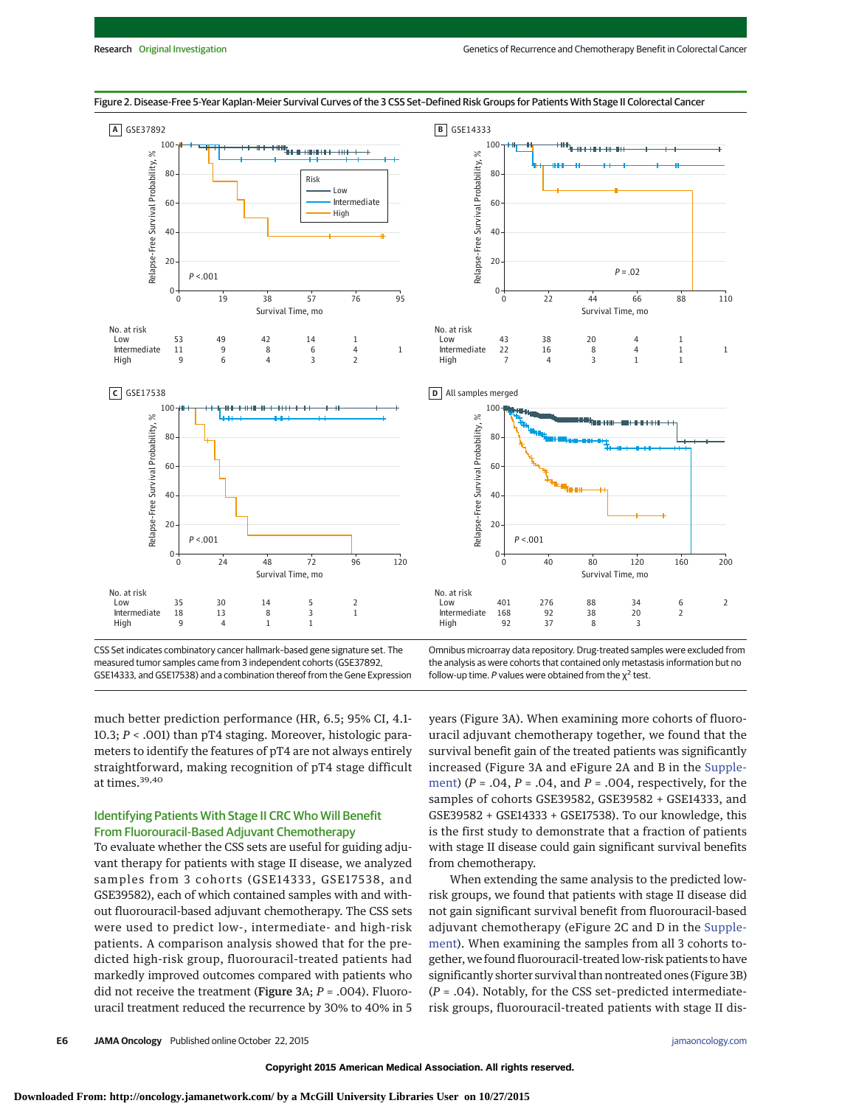

Figure 2. Disease-Free 5-Year Kaplan-Meier Survival Curves of the 3 CSS Set–Defined Risk Groups for Patients With Stage II Colorectal Cancer

CSS Set indicates combinatory cancer hallmark–based gene signature set. The measured tumor samples came from 3 independent cohorts (GSE37892, GSE14333, and GSE17538) and a combination thereof from the Gene Expression Omnibus microarray data repository. Drug-treated samples were excluded from the analysis as were cohorts that contained only metastasis information but no follow-up time. P values were obtained from the  $y^2$  test.

much better prediction performance (HR, 6.5; 95% CI, 4.1- 10.3; *P* < .001) than pT4 staging. Moreover, histologic parameters to identify the features of pT4 are not always entirely straightforward, making recognition of pT4 stage difficult at times.39,40

## Identifying Patients With Stage II CRC Who Will Benefit From Fluorouracil-Based Adjuvant Chemotherapy

To evaluate whether the CSS sets are useful for guiding adjuvant therapy for patients with stage II disease, we analyzed samples from 3 cohorts (GSE14333, GSE17538, and GSE39582), each of which contained samples with and without fluorouracil-based adjuvant chemotherapy. The CSS sets were used to predict low-, intermediate- and high-risk patients. A comparison analysis showed that for the predicted high-risk group, fluorouracil-treated patients had markedly improved outcomes compared with patients who did not receive the treatment (Figure 3A; *P* = .004). Fluorouracil treatment reduced the recurrence by 30% to 40% in 5 years (Figure 3A). When examining more cohorts of fluorouracil adjuvant chemotherapy together, we found that the survival benefit gain of the treated patients was significantly increased (Figure 3A and eFigure 2A and B in the [Supple](http://jama.jamanetwork.com/article.aspx?doi=10.1001/jamaoncol.2015.3413&utm_campaign=articlePDF%26utm_medium=articlePDFlink%26utm_source=articlePDF%26utm_content=jamaoncol.2015.3413)[ment\)](http://jama.jamanetwork.com/article.aspx?doi=10.1001/jamaoncol.2015.3413&utm_campaign=articlePDF%26utm_medium=articlePDFlink%26utm_source=articlePDF%26utm_content=jamaoncol.2015.3413) (*P* = .04, *P* = .04, and *P* = .004, respectively, for the samples of cohorts GSE39582, GSE39582 + GSE14333, and GSE39582 + GSE14333 + GSE17538). To our knowledge, this is the first study to demonstrate that a fraction of patients with stage II disease could gain significant survival benefits from chemotherapy.

When extending the same analysis to the predicted lowrisk groups, we found that patients with stage II disease did not gain significant survival benefit from fluorouracil-based adjuvant chemotherapy (eFigure 2C and D in the [Supple](http://jama.jamanetwork.com/article.aspx?doi=10.1001/jamaoncol.2015.3413&utm_campaign=articlePDF%26utm_medium=articlePDFlink%26utm_source=articlePDF%26utm_content=jamaoncol.2015.3413)[ment\)](http://jama.jamanetwork.com/article.aspx?doi=10.1001/jamaoncol.2015.3413&utm_campaign=articlePDF%26utm_medium=articlePDFlink%26utm_source=articlePDF%26utm_content=jamaoncol.2015.3413). When examining the samples from all 3 cohorts together, we found fluorouracil-treated low-risk patients to have significantly shorter survival than nontreated ones (Figure 3B) (*P* = .04). Notably, for the CSS set–predicted intermediaterisk groups, fluorouracil-treated patients with stage II dis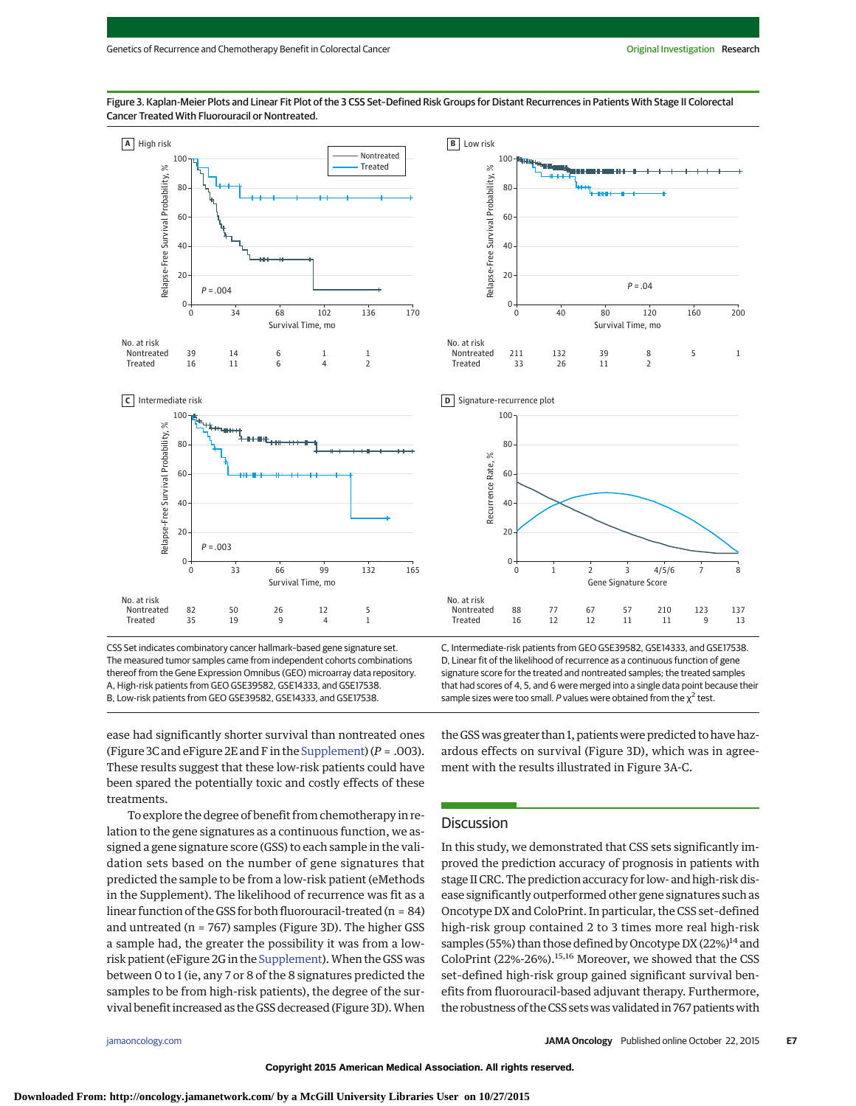Figure 3. Kaplan-Meier Plots and Linear Fit Plot of the 3 CSS Set–Defined Risk Groups for Distant Recurrences in Patients With Stage II Colorectal Cancer Treated With Fluorouracil or Nontreated.



CSS Set indicates combinatory cancer hallmark–based gene signature set. The measured tumor samples came from independent cohorts combinations thereof from the Gene Expression Omnibus (GEO) microarray data repository. A, High-risk patients from GEO GSE39582, GSE14333, and GSE17538. B, Low-risk patients from GEO GSE39582, GSE14333, and GSE17538.

**B** Low risk  $10<sup>°</sup>$ Relapse-Free Survival Probability, % Relapse-Free Survival Probability, % 80 60 40 20 *P* =.04  $\Omega$ 40 0 80 120 160 200 Survival Time, mo No. at risk Nontreated 1 Treated



C, Intermediate-risk patients from GEO GSE39582, GSE14333, and GSE17538. D, Linear fit of the likelihood of recurrence as a continuous function of gene signature score for the treated and nontreated samples; the treated samples that had scores of 4, 5, and 6 were merged into a single data point because their sample sizes were too small. P values were obtained from the  $\chi^2$  test.

ease had significantly shorter survival than nontreated ones (Figure 3C and eFigure 2E and F in the [Supplement\)](http://jama.jamanetwork.com/article.aspx?doi=10.1001/jamaoncol.2015.3413&utm_campaign=articlePDF%26utm_medium=articlePDFlink%26utm_source=articlePDF%26utm_content=jamaoncol.2015.3413) (*P* = .003). These results suggest that these low-risk patients could have been spared the potentially toxic and costly effects of these treatments.

To explore the degree of benefit from chemotherapy in relation to the gene signatures as a continuous function, we assigned a gene signature score (GSS) to each sample in the validation sets based on the number of gene signatures that predicted the sample to be from a low-risk patient (eMethods in the Supplement). The likelihood of recurrence was fit as a linear function of the GSS for both fluorouracil-treated (n = 84) and untreated ( $n = 767$ ) samples (Figure 3D). The higher GSS a sample had, the greater the possibility it was from a low-risk patient (eFigure 2G in the [Supplement\)](http://jama.jamanetwork.com/article.aspx?doi=10.1001/jamaoncol.2015.3413&utm_campaign=articlePDF%26utm_medium=articlePDFlink%26utm_source=articlePDF%26utm_content=jamaoncol.2015.3413). When the GSS was between 0 to 1 (ie, any 7 or 8 of the 8 signatures predicted the samples to be from high-risk patients), the degree of the survival benefit increased as the GSS decreased (Figure 3D).When

the GSS was greater than 1, patients were predicted to have hazardous effects on survival (Figure 3D), which was in agreement with the results illustrated in Figure 3A-C.

## Discussion

In this study, we demonstrated that CSS sets significantly improved the prediction accuracy of prognosis in patients with stage II CRC. The prediction accuracy for low- and high-risk disease significantly outperformed other gene signatures such as Oncotype DX and ColoPrint. In particular, the CSS set–defined high-risk group contained 2 to 3 times more real high-risk samples (55%) than those defined by Oncotype DX (22%) $^{14}$  and ColoPrint (22%-26%).15,16 Moreover, we showed that the CSS set–defined high-risk group gained significant survival benefits from fluorouracil-based adjuvant therapy. Furthermore, the robustness of the CSS sets was validated in 767 patients with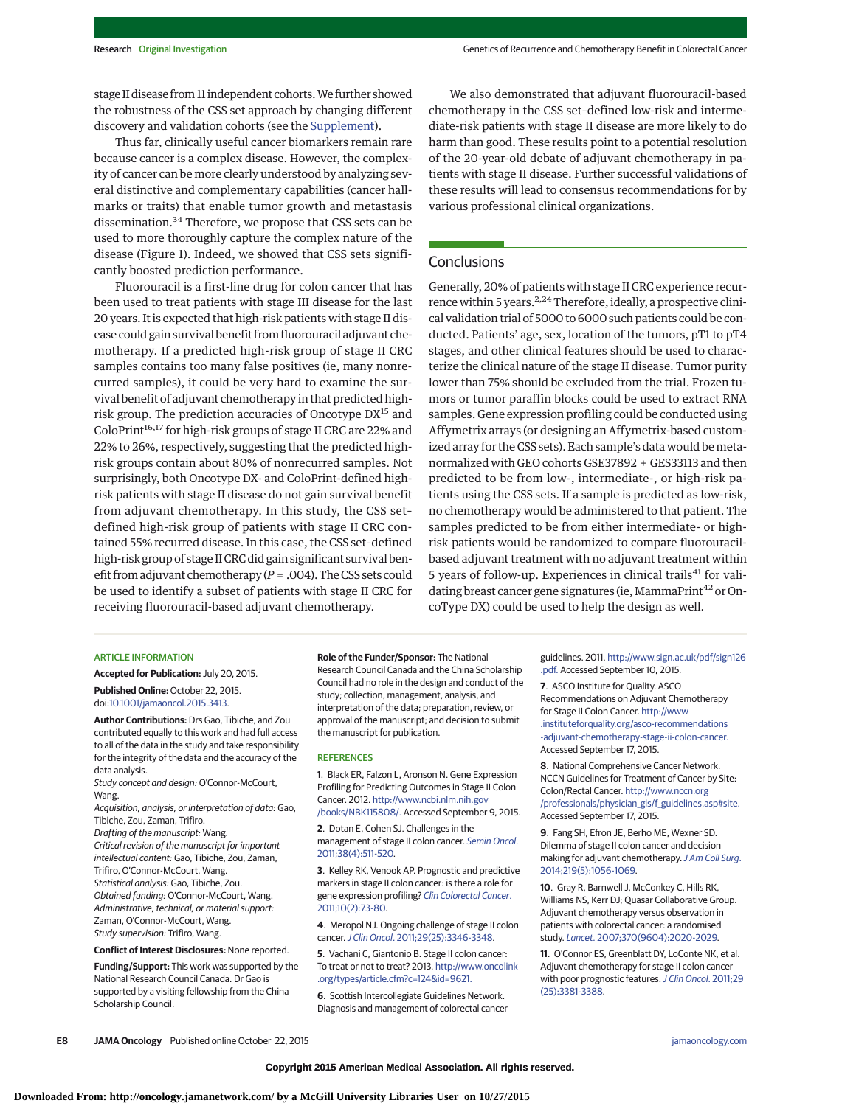stage II disease from 11 independent cohorts.We further showed the robustness of the CSS set approach by changing different discovery and validation cohorts (see the [Supplement\)](http://jama.jamanetwork.com/article.aspx?doi=10.1001/jamaoncol.2015.3413&utm_campaign=articlePDF%26utm_medium=articlePDFlink%26utm_source=articlePDF%26utm_content=jamaoncol.2015.3413).

Thus far, clinically useful cancer biomarkers remain rare because cancer is a complex disease. However, the complexity of cancer can be more clearly understood by analyzing several distinctive and complementary capabilities (cancer hallmarks or traits) that enable tumor growth and metastasis dissemination.<sup>34</sup> Therefore, we propose that CSS sets can be used to more thoroughly capture the complex nature of the disease (Figure 1). Indeed, we showed that CSS sets significantly boosted prediction performance.

Fluorouracil is a first-line drug for colon cancer that has been used to treat patients with stage III disease for the last 20 years. It is expected that high-risk patients with stage II disease could gain survival benefit from fluorouracil adjuvant chemotherapy. If a predicted high-risk group of stage II CRC samples contains too many false positives (ie, many nonrecurred samples), it could be very hard to examine the survival benefit of adjuvant chemotherapy in that predicted highrisk group. The prediction accuracies of Oncotype DX<sup>15</sup> and ColoPrint<sup>16,17</sup> for high-risk groups of stage II CRC are 22% and 22% to 26%, respectively, suggesting that the predicted highrisk groups contain about 80% of nonrecurred samples. Not surprisingly, both Oncotype DX- and ColoPrint-defined highrisk patients with stage II disease do not gain survival benefit from adjuvant chemotherapy. In this study, the CSS set– defined high-risk group of patients with stage II CRC contained 55% recurred disease. In this case, the CSS set–defined high-risk group of stage II CRC did gain significant survival benefit from adjuvant chemotherapy (*P* = .004). The CSS sets could be used to identify a subset of patients with stage II CRC for receiving fluorouracil-based adjuvant chemotherapy.

We also demonstrated that adjuvant fluorouracil-based chemotherapy in the CSS set–defined low-risk and intermediate-risk patients with stage II disease are more likely to do harm than good. These results point to a potential resolution of the 20-year-old debate of adjuvant chemotherapy in patients with stage II disease. Further successful validations of these results will lead to consensus recommendations for by various professional clinical organizations.

## **Conclusions**

Generally, 20% of patients with stage II CRC experience recurrence within 5 years.<sup>2,24</sup> Therefore, ideally, a prospective clinical validation trial of 5000 to 6000 such patients could be conducted. Patients' age, sex, location of the tumors, pT1 to pT4 stages, and other clinical features should be used to characterize the clinical nature of the stage II disease. Tumor purity lower than 75% should be excluded from the trial. Frozen tumors or tumor paraffin blocks could be used to extract RNA samples. Gene expression profiling could be conducted using Affymetrix arrays (or designing an Affymetrix-based customized array for the CSS sets). Each sample's data would be metanormalized with GEO cohorts GSE37892 + GES33113 and then predicted to be from low-, intermediate-, or high-risk patients using the CSS sets. If a sample is predicted as low-risk, no chemotherapy would be administered to that patient. The samples predicted to be from either intermediate- or highrisk patients would be randomized to compare fluorouracilbased adjuvant treatment with no adjuvant treatment within 5 years of follow-up. Experiences in clinical trails<sup>41</sup> for validating breast cancer gene signatures (ie, MammaPrint<sup>42</sup> or OncoType DX) could be used to help the design as well.

#### **ARTICLE INFORMATION**

**Accepted for Publication:** July 20, 2015. **Published Online:** October 22, 2015. doi[:10.1001/jamaoncol.2015.3413.](http://jama.jamanetwork.com/article.aspx?doi=10.1001/jamaoncol.2015.3413&utm_campaign=articlePDF%26utm_medium=articlePDFlink%26utm_source=articlePDF%26utm_content=jamaoncol.2015.3413)

**Author Contributions:** Drs Gao, Tibiche, and Zou contributed equally to this work and had full access to all of the data in the study and take responsibility for the integrity of the data and the accuracy of the data analysis.

Study concept and design: O'Connor-McCourt, **Wang** 

Acquisition, analysis, or interpretation of data: Gao, Tibiche, Zou, Zaman, Trifiro.

Drafting of the manuscript: Wang. Critical revision of the manuscript for important intellectual content: Gao, Tibiche, Zou, Zaman, Trifiro, O'Connor-McCourt, Wang. Statistical analysis: Gao, Tibiche, Zou. Obtained funding: O'Connor-McCourt, Wang. Administrative, technical, or material support: Zaman, O'Connor-McCourt, Wang. Study supervision: Trifiro, Wang.

#### **Conflict of Interest Disclosures:** None reported.

**Funding/Support:** This work was supported by the National Research Council Canada. Dr Gao is supported by a visiting fellowship from the China Scholarship Council.

**Role of the Funder/Sponsor:** The National Research Council Canada and the China Scholarship Council had no role in the design and conduct of the study; collection, management, analysis, and interpretation of the data; preparation, review, or approval of the manuscript; and decision to submit the manuscript for publication.

#### **REFERENCES**

**1**. Black ER, Falzon L, Aronson N. Gene Expression Profiling for Predicting Outcomes in Stage II Colon Cancer. 2012. [http://www.ncbi.nlm.nih.gov](http://www.ncbi.nlm.nih.gov/books/NBK115808/) [/books/NBK115808/.](http://www.ncbi.nlm.nih.gov/books/NBK115808/) Accessed September 9, 2015.

**2**. Dotan E, Cohen SJ. Challenges in the management of stage II colon cancer. [Semin Oncol](http://www.ncbi.nlm.nih.gov/pubmed/21810510). [2011;38\(4\):511-520.](http://www.ncbi.nlm.nih.gov/pubmed/21810510)

**3**. Kelley RK, Venook AP. Prognostic and predictive markers in stage II colon cancer: is there a role for gene expression profiling? [Clin Colorectal Cancer](http://www.ncbi.nlm.nih.gov/pubmed/21859557). [2011;10\(2\):73-80.](http://www.ncbi.nlm.nih.gov/pubmed/21859557)

**4**. Meropol NJ. Ongoing challenge of stage II colon cancer.J Clin Oncol[. 2011;29\(25\):3346-3348.](http://www.ncbi.nlm.nih.gov/pubmed/21788557)

**5**. Vachani C, Giantonio B. Stage II colon cancer: To treat or not to treat? 2013. [http://www.oncolink](http://www.oncolink.org/types/article.cfm?c=124&id=9621) [.org/types/article.cfm?c=124&id=9621.](http://www.oncolink.org/types/article.cfm?c=124&id=9621)

**6**. Scottish Intercollegiate Guidelines Network. Diagnosis and management of colorectal cancer guidelines. 2011. [http://www.sign.ac.uk/pdf/sign126](http://www.sign.ac.uk/pdf/sign126.pdf) [.pdf.](http://www.sign.ac.uk/pdf/sign126.pdf) Accessed September 10, 2015.

**7**. ASCO Institute for Quality. ASCO Recommendations on Adjuvant Chemotherapy for Stage II Colon Cancer. [http://www](http://www.instituteforquality.org/asco-recommendations-adjuvant-chemotherapy-stage-ii-colon-cancer) [.instituteforquality.org/asco-recommendations](http://www.instituteforquality.org/asco-recommendations-adjuvant-chemotherapy-stage-ii-colon-cancer) [-adjuvant-chemotherapy-stage-ii-colon-cancer.](http://www.instituteforquality.org/asco-recommendations-adjuvant-chemotherapy-stage-ii-colon-cancer) Accessed September 17, 2015.

**8**. National Comprehensive Cancer Network. NCCN Guidelines for Treatment of Cancer by Site: Colon/Rectal Cancer. [http://www.nccn.org](http://www.nccn.org/professionals/physician_gls/f_guidelines.asp#site) [/professionals/physician\\_gls/f\\_guidelines.asp#site.](http://www.nccn.org/professionals/physician_gls/f_guidelines.asp#site) Accessed September 17, 2015.

**9**. Fang SH, Efron JE, Berho ME, Wexner SD. Dilemma of stage II colon cancer and decision making for adjuvant chemotherapy. [J Am Coll Surg](http://www.ncbi.nlm.nih.gov/pubmed/25440029). [2014;219\(5\):1056-1069.](http://www.ncbi.nlm.nih.gov/pubmed/25440029)

**10**. Gray R, Barnwell J, McConkey C, Hills RK, Williams NS, Kerr DJ; Quasar Collaborative Group. Adjuvant chemotherapy versus observation in patients with colorectal cancer: a randomised study. Lancet[. 2007;370\(9604\):2020-2029.](http://www.ncbi.nlm.nih.gov/pubmed/18083404)

**11**. O'Connor ES, Greenblatt DY, LoConte NK, et al. Adjuvant chemotherapy for stage II colon cancer with poor prognostic features. [J Clin Oncol](http://www.ncbi.nlm.nih.gov/pubmed/21788561). 2011;29 [\(25\):3381-3388.](http://www.ncbi.nlm.nih.gov/pubmed/21788561)